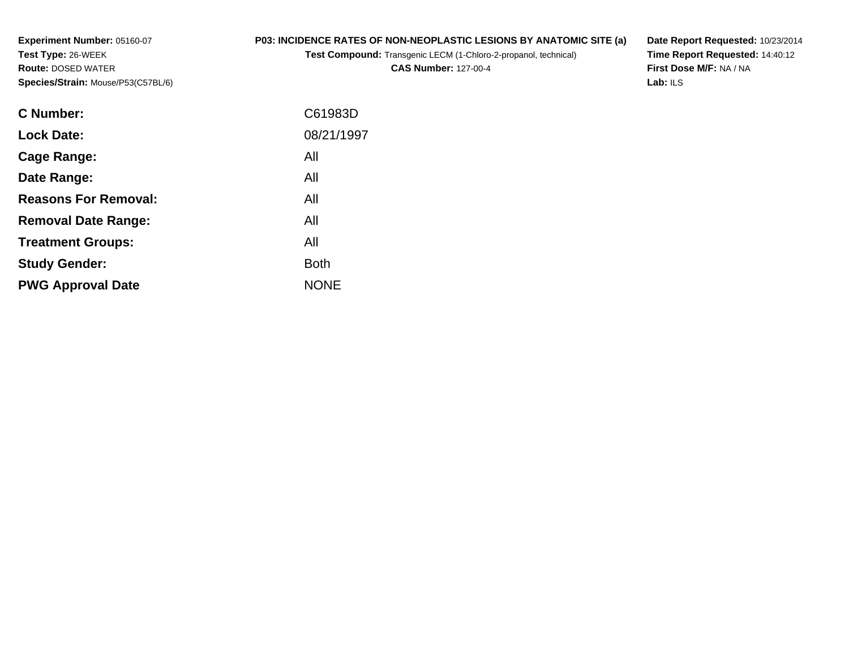**Experiment Number:** 05160-07**Test Type:** 26-WEEK **Route:** DOSED WATER**Species/Strain:** Mouse/P53(C57BL/6)

# **P03: INCIDENCE RATES OF NON-NEOPLASTIC LESIONS BY ANATOMIC SITE (a)**

**Test Compound:** Transgenic LECM (1-Chloro-2-propanol, technical)

**CAS Number:** 127-00-4

**Date Report Requested:** 10/23/2014 **Time Report Requested:** 14:40:12**First Dose M/F:** NA / NA**Lab:** ILS

| C Number:                   | C61983D     |
|-----------------------------|-------------|
| <b>Lock Date:</b>           | 08/21/1997  |
| Cage Range:                 | All         |
| Date Range:                 | All         |
| <b>Reasons For Removal:</b> | All         |
| <b>Removal Date Range:</b>  | All         |
| <b>Treatment Groups:</b>    | All         |
| <b>Study Gender:</b>        | <b>Both</b> |
| <b>PWG Approval Date</b>    | <b>NONE</b> |
|                             |             |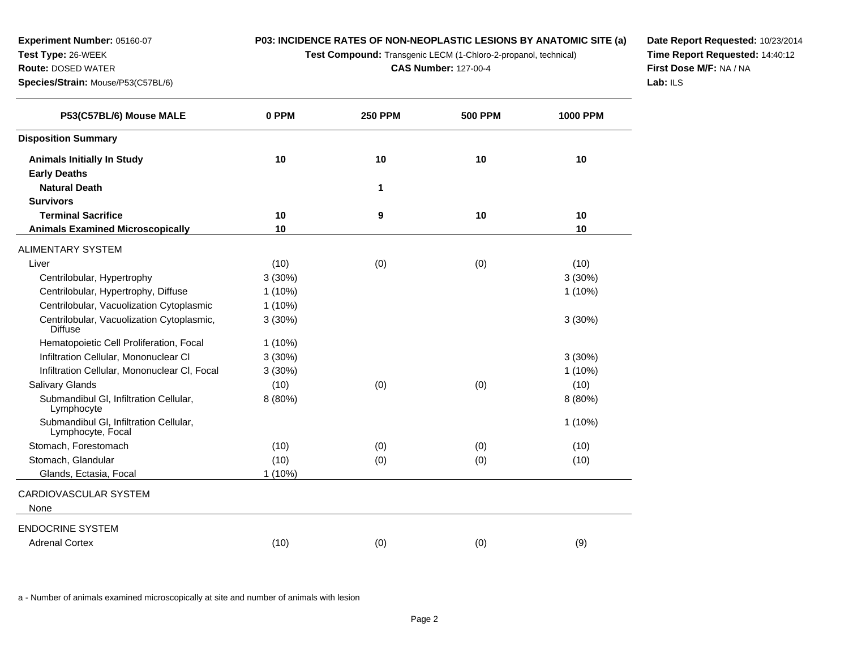**Test Compound:** Transgenic LECM (1-Chloro-2-propanol, technical)

**CAS Number:** 127-00-4

**Date Report Requested:** 10/23/2014 **Time Report Requested:** 14:40:12**First Dose M/F:** NA / NA**Lab:** ILS

| P53(C57BL/6) Mouse MALE                                     | 0 PPM     | <b>250 PPM</b> | <b>500 PPM</b> | <b>1000 PPM</b> |
|-------------------------------------------------------------|-----------|----------------|----------------|-----------------|
| <b>Disposition Summary</b>                                  |           |                |                |                 |
| <b>Animals Initially In Study</b>                           | 10        | 10             | 10             | 10              |
| <b>Early Deaths</b>                                         |           |                |                |                 |
| <b>Natural Death</b>                                        |           | 1              |                |                 |
| <b>Survivors</b>                                            |           |                |                |                 |
| <b>Terminal Sacrifice</b>                                   | 10        | 9              | 10             | 10              |
| <b>Animals Examined Microscopically</b>                     | 10        |                |                | 10              |
| <b>ALIMENTARY SYSTEM</b>                                    |           |                |                |                 |
| Liver                                                       | (10)      | (0)            | (0)            | (10)            |
| Centrilobular, Hypertrophy                                  | 3(30%)    |                |                | 3(30%)          |
| Centrilobular, Hypertrophy, Diffuse                         | $1(10\%)$ |                |                | $1(10\%)$       |
| Centrilobular, Vacuolization Cytoplasmic                    | $1(10\%)$ |                |                |                 |
| Centrilobular, Vacuolization Cytoplasmic,<br><b>Diffuse</b> | 3(30%)    |                |                | 3(30%)          |
| Hematopoietic Cell Proliferation, Focal                     | $1(10\%)$ |                |                |                 |
| Infiltration Cellular, Mononuclear CI                       | 3(30%)    |                |                | 3(30%)          |
| Infiltration Cellular, Mononuclear CI, Focal                | 3(30%)    |                |                | $1(10\%)$       |
| <b>Salivary Glands</b>                                      | (10)      | (0)            | (0)            | (10)            |
| Submandibul GI, Infiltration Cellular,<br>Lymphocyte        | 8 (80%)   |                |                | 8 (80%)         |
| Submandibul GI, Infiltration Cellular,<br>Lymphocyte, Focal |           |                |                | $1(10\%)$       |
| Stomach, Forestomach                                        | (10)      | (0)            | (0)            | (10)            |
| Stomach, Glandular                                          | (10)      | (0)            | (0)            | (10)            |
| Glands, Ectasia, Focal                                      | $1(10\%)$ |                |                |                 |
| <b>CARDIOVASCULAR SYSTEM</b>                                |           |                |                |                 |
| None                                                        |           |                |                |                 |
| <b>ENDOCRINE SYSTEM</b>                                     |           |                |                |                 |
| <b>Adrenal Cortex</b>                                       | (10)      | (0)            | (0)            | (9)             |
|                                                             |           |                |                |                 |

a - Number of animals examined microscopically at site and number of animals with lesion

**Experiment Number:** 05160-07

**Species/Strain:** Mouse/P53(C57BL/6)

**Test Type:** 26-WEEK**Route:** DOSED WATER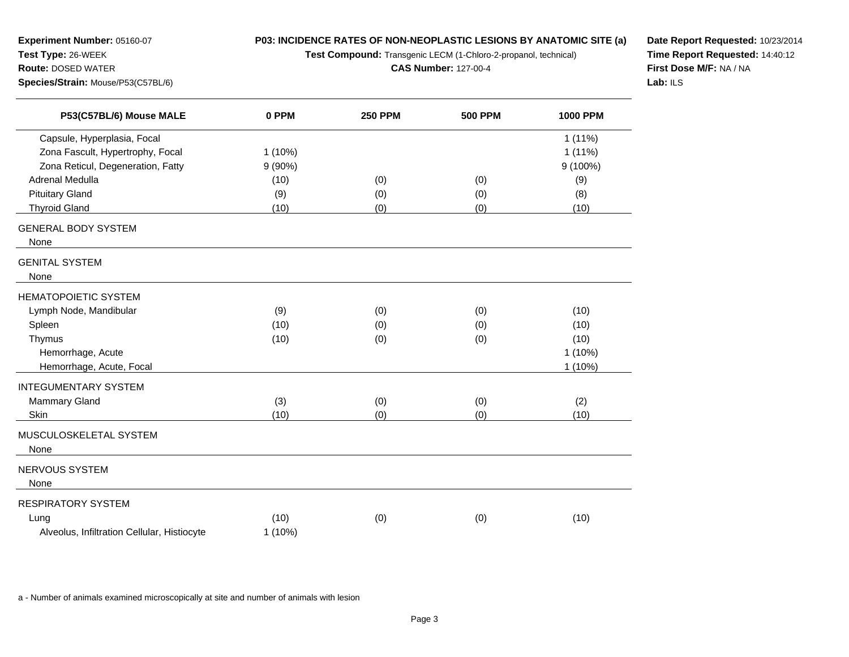**Test Compound:** Transgenic LECM (1-Chloro-2-propanol, technical)

**CAS Number:** 127-00-4

**Date Report Requested:** 10/23/2014 **Time Report Requested:** 14:40:12**First Dose M/F:** NA / NA**Lab:** ILS

| P53(C57BL/6) Mouse MALE                     | 0 PPM     | <b>250 PPM</b> | <b>500 PPM</b> | <b>1000 PPM</b> |
|---------------------------------------------|-----------|----------------|----------------|-----------------|
| Capsule, Hyperplasia, Focal                 |           |                |                | $1(11\%)$       |
| Zona Fascult, Hypertrophy, Focal            | 1(10%)    |                |                | $1(11\%)$       |
| Zona Reticul, Degeneration, Fatty           | $9(90\%)$ |                |                | 9 (100%)        |
| Adrenal Medulla                             | (10)      | (0)            | (0)            | (9)             |
| <b>Pituitary Gland</b>                      | (9)       | (0)            | (0)            | (8)             |
| <b>Thyroid Gland</b>                        | (10)      | (0)            | (0)            | (10)            |
| <b>GENERAL BODY SYSTEM</b>                  |           |                |                |                 |
| None                                        |           |                |                |                 |
| <b>GENITAL SYSTEM</b>                       |           |                |                |                 |
| None                                        |           |                |                |                 |
| <b>HEMATOPOIETIC SYSTEM</b>                 |           |                |                |                 |
| Lymph Node, Mandibular                      | (9)       | (0)            | (0)            | (10)            |
| Spleen                                      | (10)      | (0)            | (0)            | (10)            |
| Thymus                                      | (10)      | (0)            | (0)            | (10)            |
| Hemorrhage, Acute                           |           |                |                | $1(10\%)$       |
| Hemorrhage, Acute, Focal                    |           |                |                | $1(10\%)$       |
| <b>INTEGUMENTARY SYSTEM</b>                 |           |                |                |                 |
| <b>Mammary Gland</b>                        | (3)       | (0)            | (0)            | (2)             |
| Skin                                        | (10)      | (0)            | (0)            | (10)            |
| MUSCULOSKELETAL SYSTEM                      |           |                |                |                 |
| None                                        |           |                |                |                 |
| NERVOUS SYSTEM                              |           |                |                |                 |
| None                                        |           |                |                |                 |
| RESPIRATORY SYSTEM                          |           |                |                |                 |
| Lung                                        | (10)      | (0)            | (0)            | (10)            |
| Alveolus, Infiltration Cellular, Histiocyte | 1(10%)    |                |                |                 |

a - Number of animals examined microscopically at site and number of animals with lesion

**Experiment Number:** 05160-07

**Species/Strain:** Mouse/P53(C57BL/6)

**Test Type:** 26-WEEK**Route:** DOSED WATER

 $\overline{\phantom{0}}$ 

<u>Lind</u>

÷.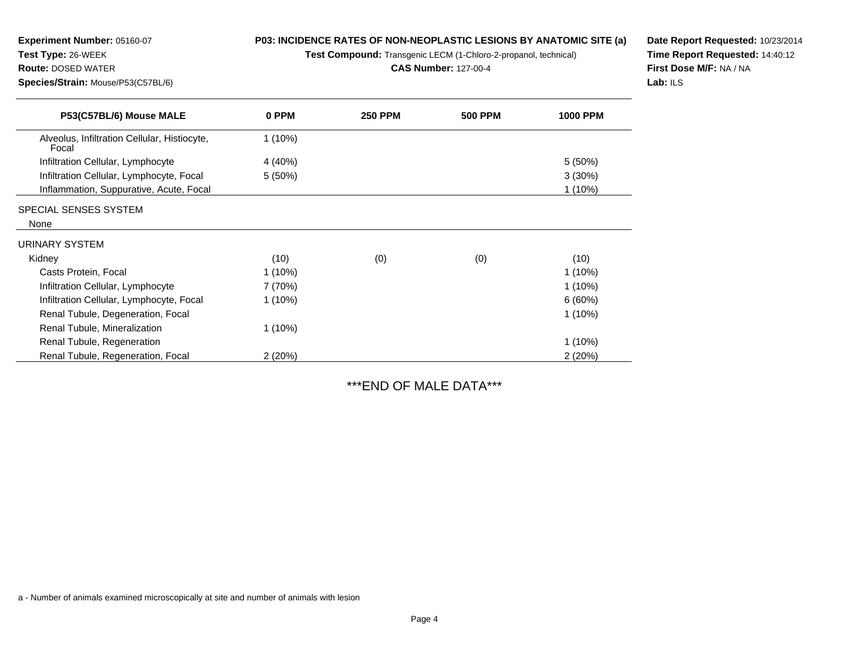**Test Compound:** Transgenic LECM (1-Chloro-2-propanol, technical)

**CAS Number:** 127-00-4

**Date Report Requested:** 10/23/2014**Time Report Requested:** 14:40:12**First Dose M/F:** NA / NA**Lab:** ILS

| P53(C57BL/6) Mouse MALE                               | 0 PPM     | <b>250 PPM</b> | <b>500 PPM</b> | <b>1000 PPM</b> |
|-------------------------------------------------------|-----------|----------------|----------------|-----------------|
| Alveolus, Infiltration Cellular, Histiocyte,<br>Focal | $1(10\%)$ |                |                |                 |
| Infiltration Cellular, Lymphocyte                     | 4 (40%)   |                |                | $5(50\%)$       |
| Infiltration Cellular, Lymphocyte, Focal              | 5(50%)    |                |                | 3(30%)          |
| Inflammation, Suppurative, Acute, Focal               |           |                |                | $1(10\%)$       |
| SPECIAL SENSES SYSTEM                                 |           |                |                |                 |
| None                                                  |           |                |                |                 |
| URINARY SYSTEM                                        |           |                |                |                 |
| Kidney                                                | (10)      | (0)            | (0)            | (10)            |
| Casts Protein, Focal                                  | $1(10\%)$ |                |                | $1(10\%)$       |
| Infiltration Cellular, Lymphocyte                     | 7 (70%)   |                |                | $1(10\%)$       |
| Infiltration Cellular, Lymphocyte, Focal              | $1(10\%)$ |                |                | 6(60%)          |
| Renal Tubule, Degeneration, Focal                     |           |                |                | 1(10%)          |
| Renal Tubule, Mineralization                          | $1(10\%)$ |                |                |                 |
| Renal Tubule, Regeneration                            |           |                |                | $1(10\%)$       |
| Renal Tubule, Regeneration, Focal                     | 2(20%)    |                |                | 2(20%)          |

\*\*\*END OF MALE DATA\*\*\*

a - Number of animals examined microscopically at site and number of animals with lesion

**Species/Strain:** Mouse/P53(C57BL/6)

**Route:** DOSED WATER

**Experiment Number:** 05160-07

**Test Type:** 26-WEEK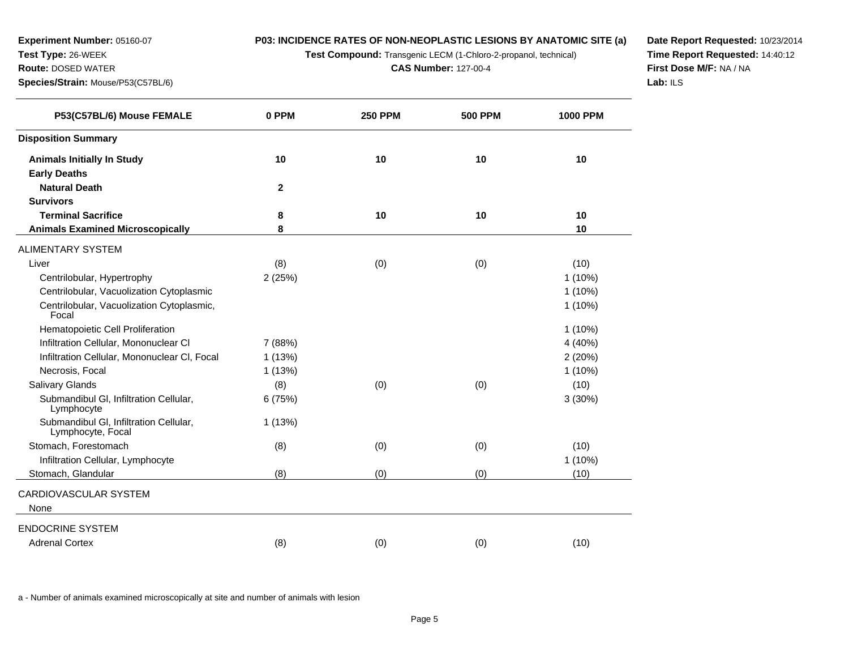**Test Compound:** Transgenic LECM (1-Chloro-2-propanol, technical)

**CAS Number:** 127-00-4

**Date Report Requested:** 10/23/2014 **Time Report Requested:** 14:40:12**First Dose M/F:** NA / NA**Lab:** ILS

| P53(C57BL/6) Mouse FEMALE                                   | 0 PPM        | <b>250 PPM</b> | <b>500 PPM</b> | <b>1000 PPM</b> |
|-------------------------------------------------------------|--------------|----------------|----------------|-----------------|
| <b>Disposition Summary</b>                                  |              |                |                |                 |
| <b>Animals Initially In Study</b>                           | 10           | 10             | 10             | 10              |
| <b>Early Deaths</b>                                         |              |                |                |                 |
| <b>Natural Death</b>                                        | $\mathbf{2}$ |                |                |                 |
| <b>Survivors</b>                                            |              |                |                |                 |
| <b>Terminal Sacrifice</b>                                   | 8            | 10             | 10             | 10              |
| <b>Animals Examined Microscopically</b>                     | 8            |                |                | 10              |
| ALIMENTARY SYSTEM                                           |              |                |                |                 |
| Liver                                                       | (8)          | (0)            | (0)            | (10)            |
| Centrilobular, Hypertrophy                                  | 2(25%)       |                |                | $1(10\%)$       |
| Centrilobular, Vacuolization Cytoplasmic                    |              |                |                | $1(10\%)$       |
| Centrilobular, Vacuolization Cytoplasmic,<br>Focal          |              |                |                | 1(10%)          |
| Hematopoietic Cell Proliferation                            |              |                |                | $1(10\%)$       |
| Infiltration Cellular, Mononuclear CI                       | 7 (88%)      |                |                | 4 (40%)         |
| Infiltration Cellular, Mononuclear CI, Focal                | 1(13%)       |                |                | 2(20%)          |
| Necrosis, Focal                                             | 1(13%)       |                |                | $1(10\%)$       |
| <b>Salivary Glands</b>                                      | (8)          | (0)            | (0)            | (10)            |
| Submandibul GI, Infiltration Cellular,<br>Lymphocyte        | 6(75%)       |                |                | 3(30%)          |
| Submandibul GI, Infiltration Cellular,<br>Lymphocyte, Focal | 1(13%)       |                |                |                 |
| Stomach, Forestomach                                        | (8)          | (0)            | (0)            | (10)            |
| Infiltration Cellular, Lymphocyte                           |              |                |                | 1 (10%)         |
| Stomach, Glandular                                          | (8)          | (0)            | (0)            | (10)            |
| CARDIOVASCULAR SYSTEM                                       |              |                |                |                 |
| None                                                        |              |                |                |                 |
| ENDOCRINE SYSTEM                                            |              |                |                |                 |
| <b>Adrenal Cortex</b>                                       | (8)          | (0)            | (0)            | (10)            |
|                                                             |              |                |                |                 |

a - Number of animals examined microscopically at site and number of animals with lesion

**Experiment Number:** 05160-07

**Species/Strain:** Mouse/P53(C57BL/6)

**Test Type:** 26-WEEK**Route:** DOSED WATER

 $\overline{\phantom{0}}$ 

 $\overline{\phantom{0}}$ 

 $\overline{\phantom{0}}$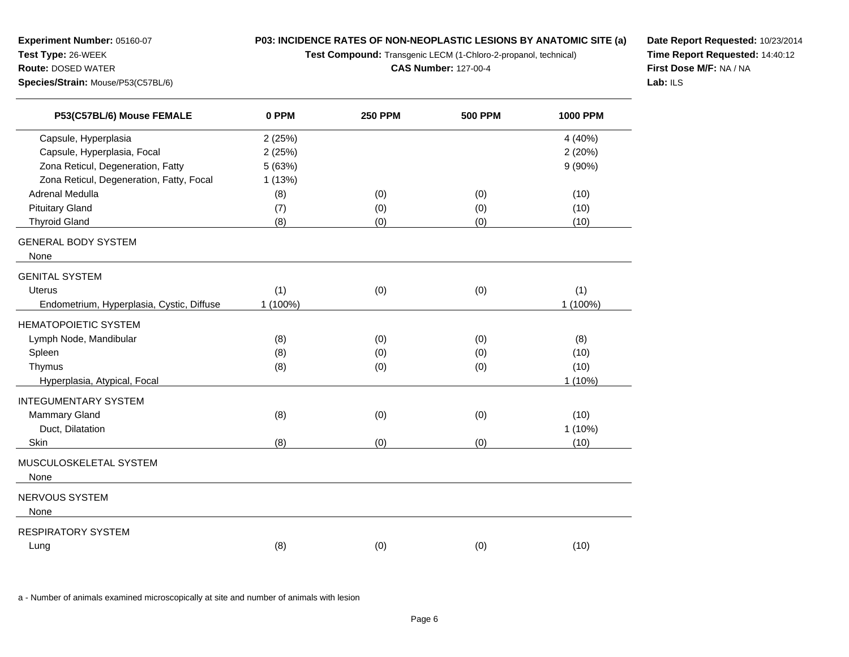**Test Compound:** Transgenic LECM (1-Chloro-2-propanol, technical)

**CAS Number:** 127-00-4

**Date Report Requested:** 10/23/2014 **Time Report Requested:** 14:40:12**First Dose M/F:** NA / NA**Lab:** ILS

| P53(C57BL/6) Mouse FEMALE                 | 0 PPM    | <b>250 PPM</b> | <b>500 PPM</b> | <b>1000 PPM</b> |
|-------------------------------------------|----------|----------------|----------------|-----------------|
| Capsule, Hyperplasia                      | 2(25%)   |                |                | 4 (40%)         |
| Capsule, Hyperplasia, Focal               | 2(25%)   |                |                | 2(20%)          |
| Zona Reticul, Degeneration, Fatty         | 5 (63%)  |                |                | $9(90\%)$       |
| Zona Reticul, Degeneration, Fatty, Focal  | 1(13%)   |                |                |                 |
| Adrenal Medulla                           | (8)      | (0)            | (0)            | (10)            |
| <b>Pituitary Gland</b>                    | (7)      | (0)            | (0)            | (10)            |
| <b>Thyroid Gland</b>                      | (8)      | (0)            | (0)            | (10)            |
| <b>GENERAL BODY SYSTEM</b><br>None        |          |                |                |                 |
| <b>GENITAL SYSTEM</b>                     |          |                |                |                 |
| <b>Uterus</b>                             | (1)      | (0)            | (0)            | (1)             |
| Endometrium, Hyperplasia, Cystic, Diffuse | 1 (100%) |                |                | 1 (100%)        |
| <b>HEMATOPOIETIC SYSTEM</b>               |          |                |                |                 |
| Lymph Node, Mandibular                    | (8)      | (0)            | (0)            | (8)             |
| Spleen                                    | (8)      | (0)            | (0)            | (10)            |
| Thymus                                    | (8)      | (0)            | (0)            | (10)            |
| Hyperplasia, Atypical, Focal              |          |                |                | $1(10\%)$       |
| <b>INTEGUMENTARY SYSTEM</b>               |          |                |                |                 |
| <b>Mammary Gland</b>                      | (8)      | (0)            | (0)            | (10)            |
| Duct, Dilatation                          |          |                |                | $1(10\%)$       |
| Skin                                      | (8)      | (0)            | (0)            | (10)            |
| MUSCULOSKELETAL SYSTEM<br>None            |          |                |                |                 |
|                                           |          |                |                |                 |
| <b>NERVOUS SYSTEM</b>                     |          |                |                |                 |
| None                                      |          |                |                |                 |
| <b>RESPIRATORY SYSTEM</b>                 |          |                |                |                 |
| Lung                                      | (8)      | (0)            | (0)            | (10)            |

a - Number of animals examined microscopically at site and number of animals with lesion

**Experiment Number:** 05160-07

**Species/Strain:** Mouse/P53(C57BL/6)

**Test Type:** 26-WEEK**Route:** DOSED WATER